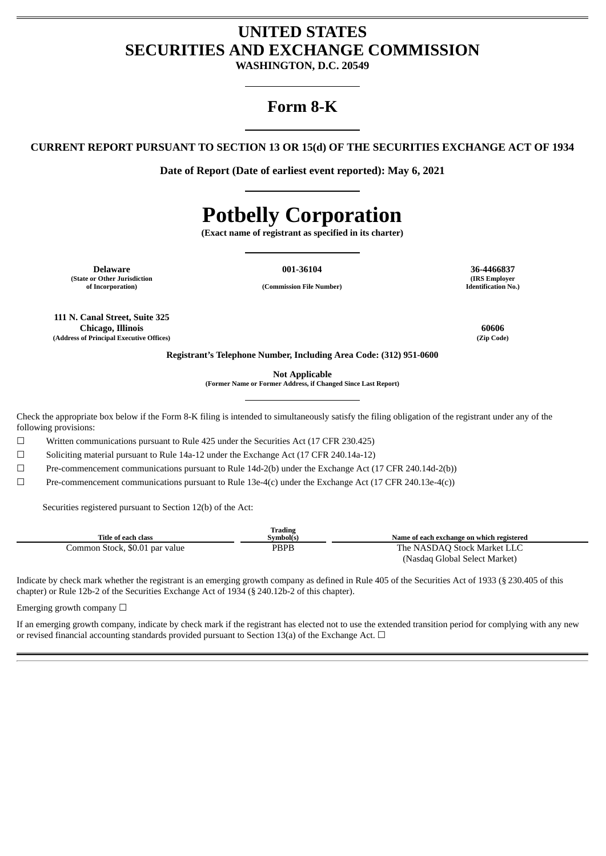# **UNITED STATES SECURITIES AND EXCHANGE COMMISSION**

**WASHINGTON, D.C. 20549**

# **Form 8-K**

**CURRENT REPORT PURSUANT TO SECTION 13 OR 15(d) OF THE SECURITIES EXCHANGE ACT OF 1934**

**Date of Report (Date of earliest event reported): May 6, 2021**

# **Potbelly Corporation**

**(Exact name of registrant as specified in its charter)**

**Delaware 001-36104 36-4466837 (State or Other Jurisdiction**

**of Incorporation) (Commission File Number)**

**111 N. Canal Street, Suite 325 Chicago, Illinois 60606 (Address of Principal Executive Offices) (Zip Code)**

**(IRS Employer Identification No.)**

**Registrant's Telephone Number, Including Area Code: (312) 951-0600**

**Not Applicable**

**(Former Name or Former Address, if Changed Since Last Report)**

Check the appropriate box below if the Form 8-K filing is intended to simultaneously satisfy the filing obligation of the registrant under any of the following provisions:

☐ Written communications pursuant to Rule 425 under the Securities Act (17 CFR 230.425)

☐ Soliciting material pursuant to Rule 14a-12 under the Exchange Act (17 CFR 240.14a-12)

☐ Pre-commencement communications pursuant to Rule 14d-2(b) under the Exchange Act (17 CFR 240.14d-2(b))

☐ Pre-commencement communications pursuant to Rule 13e-4(c) under the Exchange Act (17 CFR 240.13e-4(c))

Securities registered pursuant to Section 12(b) of the Act:

|                                | Trading   |                                           |
|--------------------------------|-----------|-------------------------------------------|
| Title of each class            | Svmbol(s) | Name of each exchange on which registered |
| Common Stock, \$0.01 par value | PBPB      | The NASDAQ Stock Market LLC               |
|                                |           | (Nasdaq Global Select Market)             |

Indicate by check mark whether the registrant is an emerging growth company as defined in Rule 405 of the Securities Act of 1933 (§ 230.405 of this chapter) or Rule 12b-2 of the Securities Exchange Act of 1934 (§ 240.12b-2 of this chapter).

Emerging growth company  $\Box$ 

If an emerging growth company, indicate by check mark if the registrant has elected not to use the extended transition period for complying with any new or revised financial accounting standards provided pursuant to Section 13(a) of the Exchange Act.  $\Box$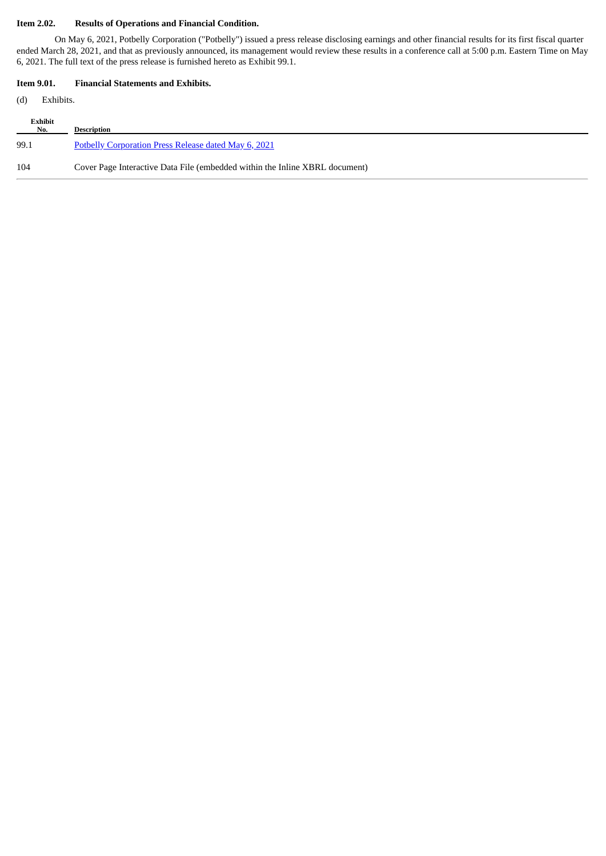# **Item 2.02. Results of Operations and Financial Condition.**

On May 6, 2021, Potbelly Corporation ("Potbelly") issued a press release disclosing earnings and other financial results for its first fiscal quarter ended March 28, 2021, and that as previously announced, its management would review these results in a conference call at 5:00 p.m. Eastern Time on May 6, 2021. The full text of the press release is furnished hereto as Exhibit 99.1.

# **Item 9.01. Financial Statements and Exhibits.**

(d) Exhibits.

| Exhibit<br>$N_{0}$ . | <b>Description</b>                                                          |
|----------------------|-----------------------------------------------------------------------------|
| 99.1                 | Potbelly Corporation Press Release dated May 6, 2021                        |
| 104                  | Cover Page Interactive Data File (embedded within the Inline XBRL document) |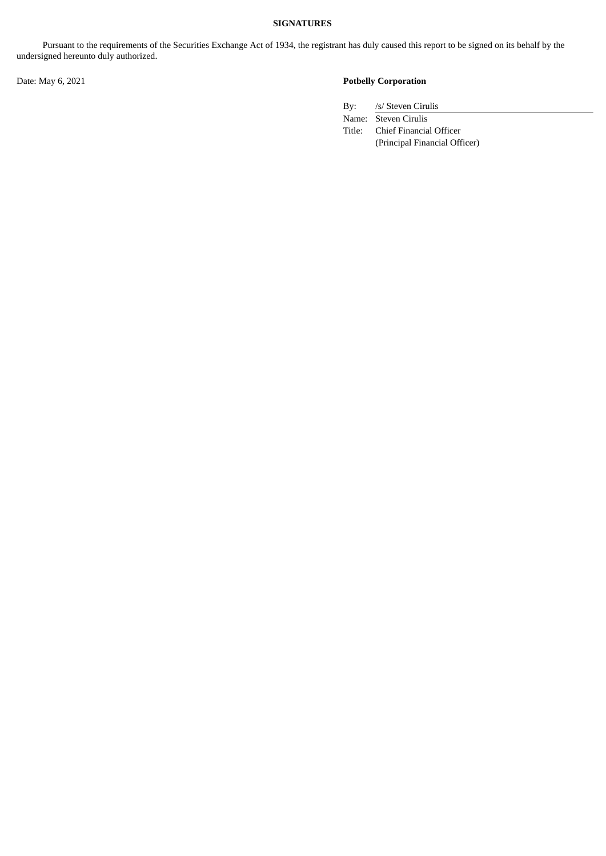# **SIGNATURES**

Pursuant to the requirements of the Securities Exchange Act of 1934, the registrant has duly caused this report to be signed on its behalf by the undersigned hereunto duly authorized.

# Date: May 6, 2021 **Potbelly Corporation**

By: /s/ Steven Cirulis

Name: Steven Cirulis

Title: Chief Financial Officer (Principal Financial Officer)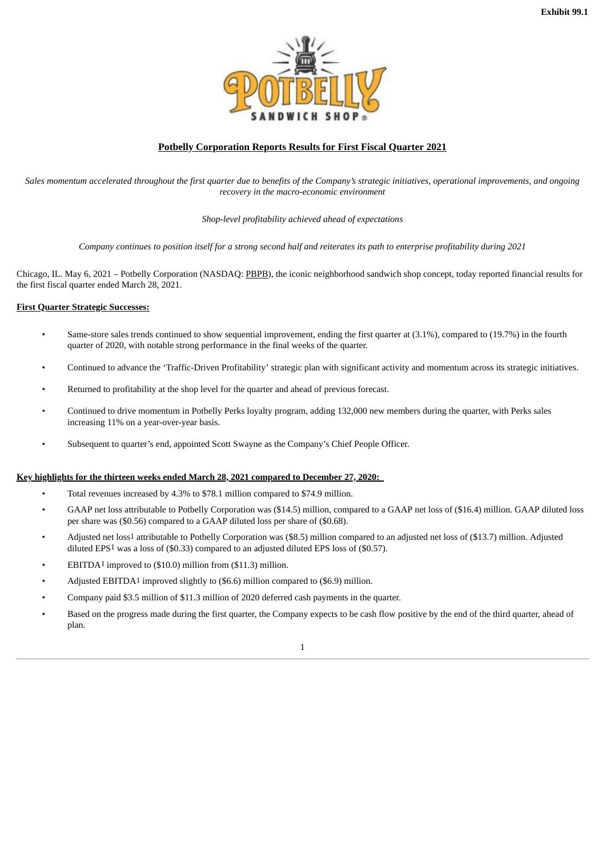

# **Potbelly Corporation Reports Results for First Fiscal Quarter 2021**

<span id="page-3-0"></span>Sales momentum accelerated throughout the first quarter due to benefits of the Company's strategic initiatives, operational improvements, and ongoing *recovery in the macro-economic environment*

*Shop-level profitability achieved ahead of expectations*

Company continues to position itself for a strong second half and reiterates its path to enterprise profitability during 2021

Chicago, IL. May 6, 2021 – Potbelly Corporation (NASDAQ: PBPB), the iconic neighborhood sandwich shop concept, today reported financial results for the first fiscal quarter ended March 28, 2021.

#### **First Quarter Strategic Successes:**

- Same-store sales trends continued to show sequential improvement, ending the first quarter at (3.1%), compared to (19.7%) in the fourth quarter of 2020, with notable strong performance in the final weeks of the quarter.
- Continued to advance the 'Traffic-Driven Profitability' strategic plan with significant activity and momentum across its strategic initiatives.
- Returned to profitability at the shop level for the quarter and ahead of previous forecast.
- Continued to drive momentum in Potbelly Perks loyalty program, adding 132,000 new members during the quarter, with Perks sales increasing 11% on a year-over-year basis.
- Subsequent to quarter's end, appointed Scott Swayne as the Company's Chief People Officer.

#### **Key highlights for the thirteen weeks ended March 28, 2021 compared to December 27, 2020:**

- Total revenues increased by 4.3% to \$78.1 million compared to \$74.9 million.
- GAAP net loss attributable to Potbelly Corporation was (\$14.5) million, compared to a GAAP net loss of (\$16.4) million. GAAP diluted loss per share was (\$0.56) compared to a GAAP diluted loss per share of (\$0.68).
- Adjusted net loss1 attributable to Potbelly Corporation was (\$8.5) million compared to an adjusted net loss of (\$13.7) million. Adjusted diluted EPS1 was a loss of (\$0.33) compared to an adjusted diluted EPS loss of (\$0.57).
- EBITDA<sup>1</sup> improved to (\$10.0) million from (\$11.3) million.
- Adjusted EBITDA1 improved slightly to (\$6.6) million compared to (\$6.9) million.
- Company paid \$3.5 million of \$11.3 million of 2020 deferred cash payments in the quarter.
- Based on the progress made during the first quarter, the Company expects to be cash flow positive by the end of the third quarter, ahead of plan.

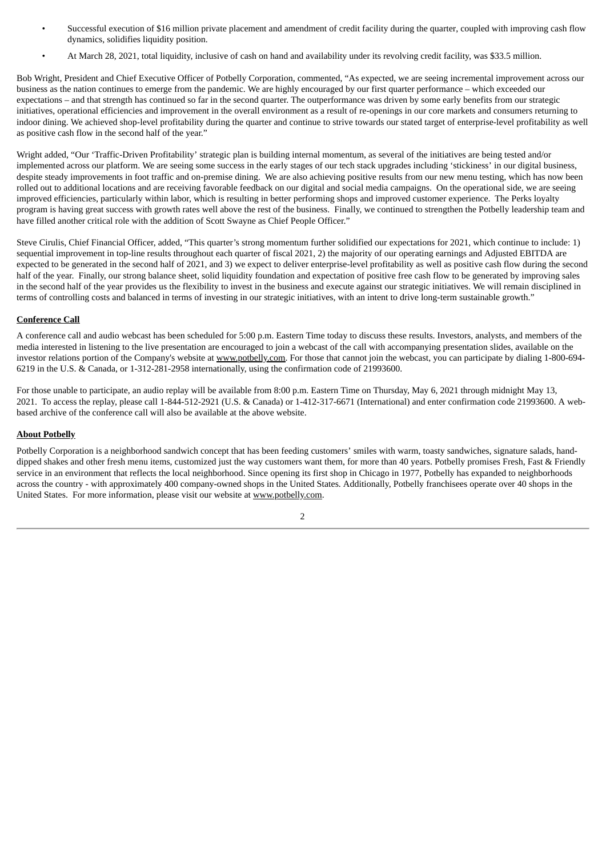- Successful execution of \$16 million private placement and amendment of credit facility during the quarter, coupled with improving cash flow dynamics, solidifies liquidity position.
- At March 28, 2021, total liquidity, inclusive of cash on hand and availability under its revolving credit facility, was \$33.5 million.

Bob Wright, President and Chief Executive Officer of Potbelly Corporation, commented, "As expected, we are seeing incremental improvement across our business as the nation continues to emerge from the pandemic. We are highly encouraged by our first quarter performance – which exceeded our expectations – and that strength has continued so far in the second quarter. The outperformance was driven by some early benefits from our strategic initiatives, operational efficiencies and improvement in the overall environment as a result of re-openings in our core markets and consumers returning to indoor dining. We achieved shop-level profitability during the quarter and continue to strive towards our stated target of enterprise-level profitability as well as positive cash flow in the second half of the year."

Wright added, "Our 'Traffic-Driven Profitability' strategic plan is building internal momentum, as several of the initiatives are being tested and/or implemented across our platform. We are seeing some success in the early stages of our tech stack upgrades including 'stickiness' in our digital business, despite steady improvements in foot traffic and on-premise dining. We are also achieving positive results from our new menu testing, which has now been rolled out to additional locations and are receiving favorable feedback on our digital and social media campaigns. On the operational side, we are seeing improved efficiencies, particularly within labor, which is resulting in better performing shops and improved customer experience. The Perks loyalty program is having great success with growth rates well above the rest of the business. Finally, we continued to strengthen the Potbelly leadership team and have filled another critical role with the addition of Scott Swayne as Chief People Officer."

Steve Cirulis, Chief Financial Officer, added, "This quarter's strong momentum further solidified our expectations for 2021, which continue to include: 1) sequential improvement in top-line results throughout each quarter of fiscal 2021, 2) the majority of our operating earnings and Adjusted EBITDA are expected to be generated in the second half of 2021, and 3) we expect to deliver enterprise-level profitability as well as positive cash flow during the second half of the year. Finally, our strong balance sheet, solid liquidity foundation and expectation of positive free cash flow to be generated by improving sales in the second half of the year provides us the flexibility to invest in the business and execute against our strategic initiatives. We will remain disciplined in terms of controlling costs and balanced in terms of investing in our strategic initiatives, with an intent to drive long-term sustainable growth."

# **Conference Call**

A conference call and audio webcast has been scheduled for 5:00 p.m. Eastern Time today to discuss these results. Investors, analysts, and members of the media interested in listening to the live presentation are encouraged to join a webcast of the call with accompanying presentation slides, available on the investor relations portion of the Company's website at www.potbelly.com. For those that cannot join the webcast, you can participate by dialing 1-800-694-6219 in the U.S. & Canada, or 1-312-281-2958 internationally, using the confirmation code of 21993600.

For those unable to participate, an audio replay will be available from 8:00 p.m. Eastern Time on Thursday, May 6, 2021 through midnight May 13, 2021. To access the replay, please call 1-844-512-2921 (U.S. & Canada) or 1-412-317-6671 (International) and enter confirmation code 21993600. A webbased archive of the conference call will also be available at the above website.

#### **About Potbelly**

Potbelly Corporation is a neighborhood sandwich concept that has been feeding customers' smiles with warm, toasty sandwiches, signature salads, handdipped shakes and other fresh menu items, customized just the way customers want them, for more than 40 years. Potbelly promises Fresh, Fast & Friendly service in an environment that reflects the local neighborhood. Since opening its first shop in Chicago in 1977, Potbelly has expanded to neighborhoods across the country - with approximately 400 company-owned shops in the United States. Additionally, Potbelly franchisees operate over 40 shops in the United States. For more information, please visit our website at www.potbelly.com.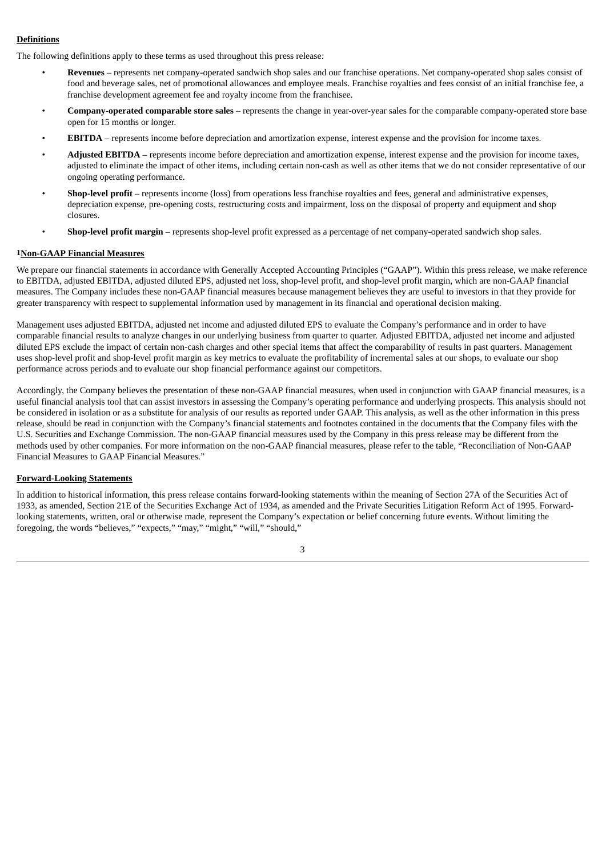# **Definitions**

The following definitions apply to these terms as used throughout this press release:

- **Revenues** represents net company-operated sandwich shop sales and our franchise operations. Net company-operated shop sales consist of food and beverage sales, net of promotional allowances and employee meals. Franchise royalties and fees consist of an initial franchise fee, a franchise development agreement fee and royalty income from the franchisee.
- **Company-operated comparable store sales** represents the change in year-over-year sales for the comparable company-operated store base open for 15 months or longer.
- **EBITDA** represents income before depreciation and amortization expense, interest expense and the provision for income taxes.
- **Adjusted EBITDA** represents income before depreciation and amortization expense, interest expense and the provision for income taxes, adjusted to eliminate the impact of other items, including certain non-cash as well as other items that we do not consider representative of our ongoing operating performance.
- **Shop-level profit** represents income (loss) from operations less franchise royalties and fees, general and administrative expenses, depreciation expense, pre-opening costs, restructuring costs and impairment, loss on the disposal of property and equipment and shop closures.
- **Shop-level profit margin** represents shop-level profit expressed as a percentage of net company-operated sandwich shop sales.

#### **1Non-GAAP Financial Measures**

We prepare our financial statements in accordance with Generally Accepted Accounting Principles ("GAAP"). Within this press release, we make reference to EBITDA, adjusted EBITDA, adjusted diluted EPS, adjusted net loss, shop-level profit, and shop-level profit margin, which are non-GAAP financial measures. The Company includes these non-GAAP financial measures because management believes they are useful to investors in that they provide for greater transparency with respect to supplemental information used by management in its financial and operational decision making.

Management uses adjusted EBITDA, adjusted net income and adjusted diluted EPS to evaluate the Company's performance and in order to have comparable financial results to analyze changes in our underlying business from quarter to quarter. Adjusted EBITDA, adjusted net income and adjusted diluted EPS exclude the impact of certain non-cash charges and other special items that affect the comparability of results in past quarters. Management uses shop-level profit and shop-level profit margin as key metrics to evaluate the profitability of incremental sales at our shops, to evaluate our shop performance across periods and to evaluate our shop financial performance against our competitors.

Accordingly, the Company believes the presentation of these non-GAAP financial measures, when used in conjunction with GAAP financial measures, is a useful financial analysis tool that can assist investors in assessing the Company's operating performance and underlying prospects. This analysis should not be considered in isolation or as a substitute for analysis of our results as reported under GAAP. This analysis, as well as the other information in this press release, should be read in conjunction with the Company's financial statements and footnotes contained in the documents that the Company files with the U.S. Securities and Exchange Commission. The non-GAAP financial measures used by the Company in this press release may be different from the methods used by other companies. For more information on the non-GAAP financial measures, please refer to the table, "Reconciliation of Non-GAAP Financial Measures to GAAP Financial Measures."

#### **Forward-Looking Statements**

In addition to historical information, this press release contains forward-looking statements within the meaning of Section 27A of the Securities Act of 1933, as amended, Section 21E of the Securities Exchange Act of 1934, as amended and the Private Securities Litigation Reform Act of 1995. Forwardlooking statements, written, oral or otherwise made, represent the Company's expectation or belief concerning future events. Without limiting the foregoing, the words "believes," "expects," "may," "might," "will," "should,"

3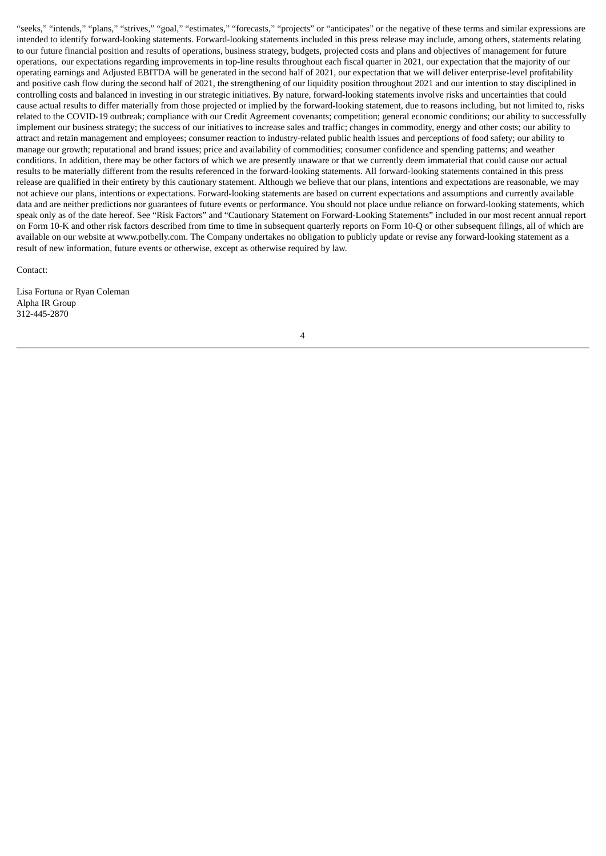"seeks," "intends," "plans," "strives," "goal," "estimates," "forecasts," "projects" or "anticipates" or the negative of these terms and similar expressions are intended to identify forward-looking statements. Forward-looking statements included in this press release may include, among others, statements relating to our future financial position and results of operations, business strategy, budgets, projected costs and plans and objectives of management for future operations, our expectations regarding improvements in top-line results throughout each fiscal quarter in 2021, our expectation that the majority of our operating earnings and Adjusted EBITDA will be generated in the second half of 2021, our expectation that we will deliver enterprise-level profitability and positive cash flow during the second half of 2021, the strengthening of our liquidity position throughout 2021 and our intention to stay disciplined in controlling costs and balanced in investing in our strategic initiatives. By nature, forward-looking statements involve risks and uncertainties that could cause actual results to differ materially from those projected or implied by the forward-looking statement, due to reasons including, but not limited to, risks related to the COVID-19 outbreak; compliance with our Credit Agreement covenants; competition; general economic conditions; our ability to successfully implement our business strategy; the success of our initiatives to increase sales and traffic; changes in commodity, energy and other costs; our ability to attract and retain management and employees; consumer reaction to industry-related public health issues and perceptions of food safety; our ability to manage our growth; reputational and brand issues; price and availability of commodities; consumer confidence and spending patterns; and weather conditions. In addition, there may be other factors of which we are presently unaware or that we currently deem immaterial that could cause our actual results to be materially different from the results referenced in the forward-looking statements. All forward-looking statements contained in this press release are qualified in their entirety by this cautionary statement. Although we believe that our plans, intentions and expectations are reasonable, we may not achieve our plans, intentions or expectations. Forward-looking statements are based on current expectations and assumptions and currently available data and are neither predictions nor guarantees of future events or performance. You should not place undue reliance on forward-looking statements, which speak only as of the date hereof. See "Risk Factors" and "Cautionary Statement on Forward-Looking Statements" included in our most recent annual report on Form 10-K and other risk factors described from time to time in subsequent quarterly reports on Form 10-Q or other subsequent filings, all of which are available on our website at www.potbelly.com. The Company undertakes no obligation to publicly update or revise any forward-looking statement as a result of new information, future events or otherwise, except as otherwise required by law.

Contact:

Lisa Fortuna or Ryan Coleman Alpha IR Group 312-445-2870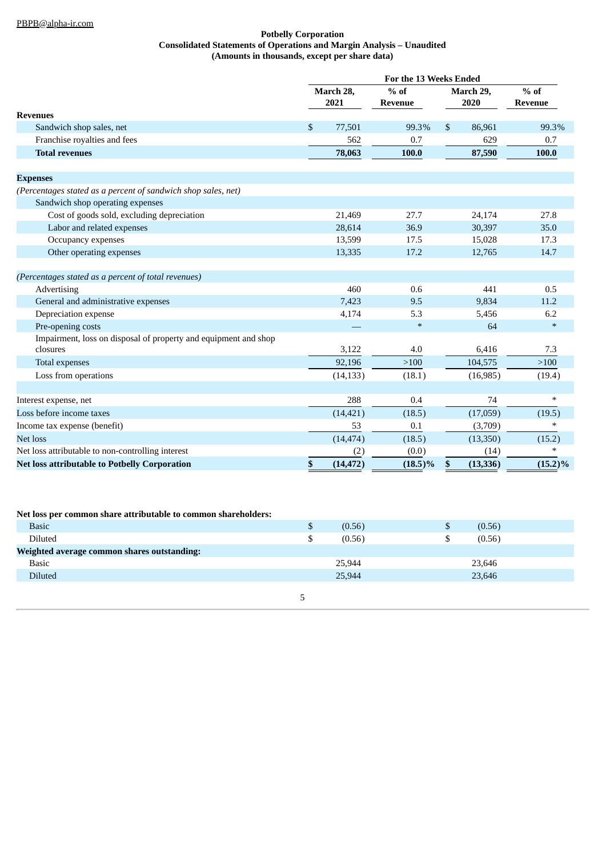## **Potbelly Corporation Consolidated Statements of Operations and Margin Analysis – Unaudited (Amounts in thousands, except per share data)**

|                                                                 |           | For the 13 Weeks Ended |            |                |           |                |  |
|-----------------------------------------------------------------|-----------|------------------------|------------|----------------|-----------|----------------|--|
|                                                                 | March 28, |                        | $%$ of     | March 29,      |           | $%$ of         |  |
|                                                                 |           | 2021                   | Revenue    |                | 2020      | <b>Revenue</b> |  |
| <b>Revenues</b>                                                 |           |                        |            |                |           |                |  |
| Sandwich shop sales, net                                        | \$        | 77,501                 | 99.3%      | $\mathfrak{S}$ | 86,961    | 99.3%          |  |
| Franchise royalties and fees                                    |           | 562                    | 0.7        |                | 629       | 0.7            |  |
| <b>Total revenues</b>                                           |           | 78,063                 | 100.0      |                | 87,590    | 100.0          |  |
|                                                                 |           |                        |            |                |           |                |  |
| <b>Expenses</b>                                                 |           |                        |            |                |           |                |  |
| (Percentages stated as a percent of sandwich shop sales, net)   |           |                        |            |                |           |                |  |
| Sandwich shop operating expenses                                |           |                        |            |                |           |                |  |
| Cost of goods sold, excluding depreciation                      |           | 21,469                 | 27.7       |                | 24,174    | 27.8           |  |
| Labor and related expenses                                      |           | 28,614                 | 36.9       |                | 30,397    | 35.0           |  |
| Occupancy expenses                                              |           | 13,599                 | 17.5       |                | 15,028    | 17.3           |  |
| Other operating expenses                                        |           | 13,335                 | 17.2       |                | 12,765    | 14.7           |  |
|                                                                 |           |                        |            |                |           |                |  |
| (Percentages stated as a percent of total revenues)             |           |                        |            |                |           |                |  |
| Advertising                                                     |           | 460                    | 0.6        |                | 441       | 0.5            |  |
| General and administrative expenses                             |           | 7,423                  | 9.5        |                | 9,834     | 11.2           |  |
| Depreciation expense                                            |           | 4,174                  | 5.3        |                | 5,456     | 6.2            |  |
| Pre-opening costs                                               |           |                        | $\ast$     |                | 64        | $\ast$         |  |
| Impairment, loss on disposal of property and equipment and shop |           |                        |            |                |           |                |  |
| closures                                                        |           | 3,122                  | 4.0        |                | 6,416     | 7.3            |  |
| Total expenses                                                  |           | 92,196                 | >100       |                | 104,575   | >100           |  |
| Loss from operations                                            |           | (14, 133)              | (18.1)     |                | (16,985)  | (19.4)         |  |
|                                                                 |           |                        |            |                |           |                |  |
| Interest expense, net                                           |           | 288                    | 0.4        |                | 74        | $*$            |  |
| Loss before income taxes                                        |           | (14, 421)              | (18.5)     |                | (17,059)  | (19.5)         |  |
| Income tax expense (benefit)                                    |           | 53                     | 0.1        |                | (3,709)   | $\ast$         |  |
| Net loss                                                        |           | (14, 474)              | (18.5)     |                | (13,350)  | (15.2)         |  |
| Net loss attributable to non-controlling interest               |           | (2)                    | (0.0)      |                | (14)      |                |  |
| <b>Net loss attributable to Potbelly Corporation</b>            | \$        | (14, 472)              | $(18.5)\%$ | \$             | (13, 336) | $(15.2)\%$     |  |

## **Net loss per common share attributable to common shareholders:**

| <b>Basic</b>                                | لا | (0.56) | (0.56)<br>P |
|---------------------------------------------|----|--------|-------------|
| Diluted                                     |    | (0.56) | (0.56)      |
| Weighted average common shares outstanding: |    |        |             |
| <b>Basic</b>                                |    | 25,944 | 23,646      |
| Diluted                                     |    | 25,944 | 23,646      |
|                                             |    |        |             |
|                                             |    |        |             |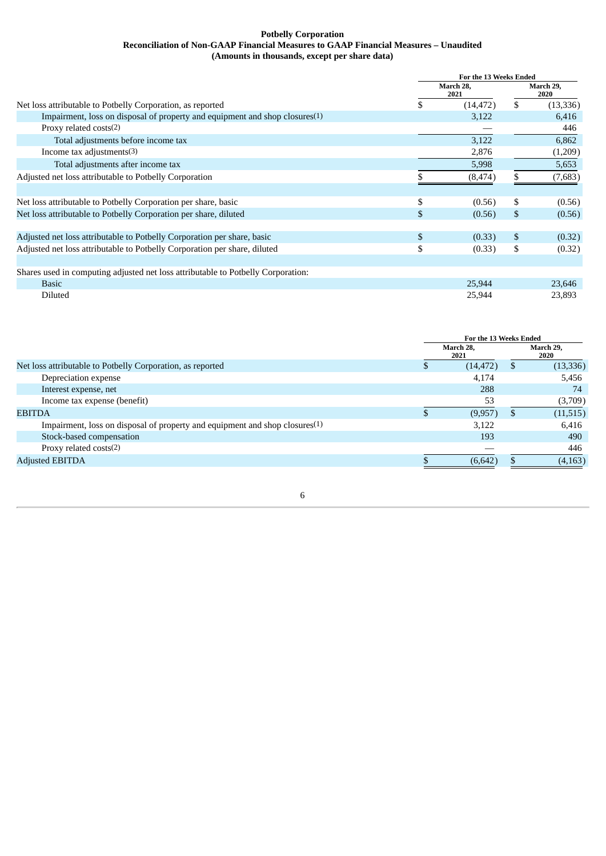## **Potbelly Corporation Reconciliation of Non-GAAP Financial Measures to GAAP Financial Measures – Unaudited (Amounts in thousands, except per share data)**

|                                                                                  | For the 13 Weeks Ended |           |                   |          |
|----------------------------------------------------------------------------------|------------------------|-----------|-------------------|----------|
|                                                                                  | March 28,<br>2021      |           | March 29,<br>2020 |          |
| Net loss attributable to Potbelly Corporation, as reported                       |                        | (14, 472) | \$                | (13,336) |
| Impairment, loss on disposal of property and equipment and shop closures(1)      |                        | 3,122     |                   | 6.416    |
| Proxy related costs(2)                                                           |                        |           |                   | 446      |
| Total adjustments before income tax                                              |                        | 3,122     |                   | 6,862    |
| Income tax adjustments(3)                                                        |                        | 2,876     |                   | (1,209)  |
| Total adjustments after income tax                                               |                        | 5,998     |                   | 5,653    |
| Adjusted net loss attributable to Potbelly Corporation                           |                        | (8, 474)  |                   | (7,683)  |
|                                                                                  |                        |           |                   |          |
| Net loss attributable to Potbelly Corporation per share, basic                   | \$                     | (0.56)    | \$                | (0.56)   |
| Net loss attributable to Potbelly Corporation per share, diluted                 | \$                     | (0.56)    | \$                | (0.56)   |
|                                                                                  |                        |           |                   |          |
| Adjusted net loss attributable to Potbelly Corporation per share, basic          | \$                     | (0.33)    | \$                | (0.32)   |
| Adjusted net loss attributable to Potbelly Corporation per share, diluted        | \$                     | (0.33)    | \$                | (0.32)   |
|                                                                                  |                        |           |                   |          |
| Shares used in computing adjusted net loss attributable to Potbelly Corporation: |                        |           |                   |          |
| <b>Basic</b>                                                                     |                        | 25,944    |                   | 23,646   |
| Diluted                                                                          |                        | 25,944    |                   | 23,893   |

|                                                                                | For the 13 Weeks Ended |           |                   |           |
|--------------------------------------------------------------------------------|------------------------|-----------|-------------------|-----------|
|                                                                                | March 28,<br>2021      |           | March 29,<br>2020 |           |
| Net loss attributable to Potbelly Corporation, as reported                     |                        | (14, 472) | S.                | (13, 336) |
| Depreciation expense                                                           |                        | 4,174     |                   | 5,456     |
| Interest expense, net                                                          |                        | 288       |                   | 74        |
| Income tax expense (benefit)                                                   |                        | 53        |                   | (3,709)   |
| <b>EBITDA</b>                                                                  |                        | (9,957)   |                   | (11, 515) |
| Impairment, loss on disposal of property and equipment and shop closures $(1)$ |                        | 3,122     |                   | 6,416     |
| Stock-based compensation                                                       |                        | 193       |                   | 490       |
| Proxy related costs(2)                                                         |                        |           |                   | 446       |
| <b>Adjusted EBITDA</b>                                                         |                        | (6.642)   |                   | (4, 163)  |

6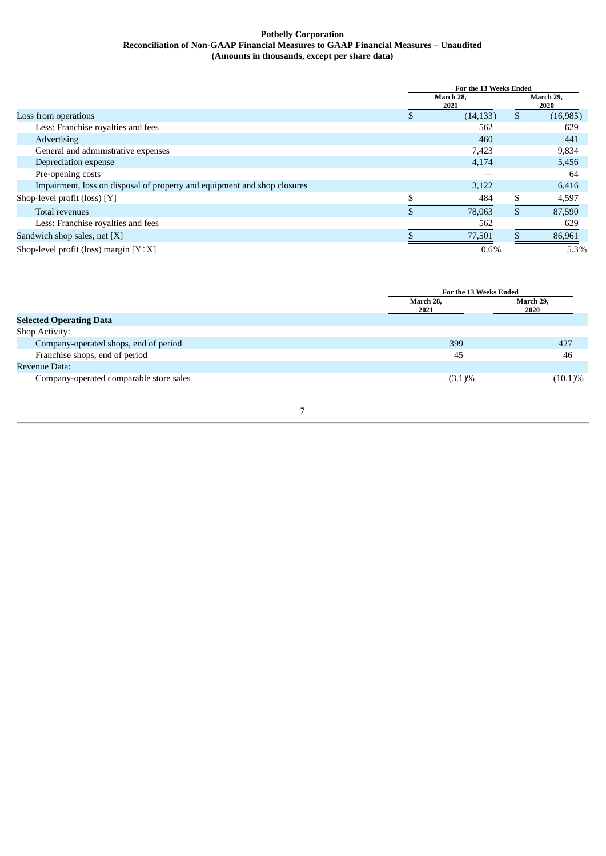## **Potbelly Corporation Reconciliation of Non-GAAP Financial Measures to GAAP Financial Measures – Unaudited (Amounts in thousands, except per share data)**

|                                                                          |                   | For the 13 Weeks Ended |    |                   |  |
|--------------------------------------------------------------------------|-------------------|------------------------|----|-------------------|--|
|                                                                          | March 28,<br>2021 |                        |    | March 29,<br>2020 |  |
| Loss from operations                                                     | S                 | (14, 133)              | \$ | (16, 985)         |  |
| Less: Franchise royalties and fees                                       |                   | 562                    |    | 629               |  |
| Advertising                                                              |                   | 460                    |    | 441               |  |
| General and administrative expenses                                      |                   | 7,423                  |    | 9,834             |  |
| Depreciation expense                                                     |                   | 4,174                  |    | 5,456             |  |
| Pre-opening costs                                                        |                   |                        |    | 64                |  |
| Impairment, loss on disposal of property and equipment and shop closures |                   | 3,122                  |    | 6,416             |  |
| Shop-level profit (loss) [Y]                                             |                   | 484                    |    | 4,597             |  |
| Total revenues                                                           | S                 | 78,063                 | S. | 87,590            |  |
| Less: Franchise royalties and fees                                       |                   | 562                    |    | 629               |  |
| Sandwich shop sales, net [X]                                             |                   | 77,501                 |    | 86,961            |  |
| Shop-level profit (loss) margin $[Y \div X]$                             |                   | $0.6\%$                |    | 5.3%              |  |

|                                         |                   | For the 13 Weeks Ended |  |
|-----------------------------------------|-------------------|------------------------|--|
|                                         | March 28,<br>2021 | March 29,<br>2020      |  |
| <b>Selected Operating Data</b>          |                   |                        |  |
| Shop Activity:                          |                   |                        |  |
| Company-operated shops, end of period   | 399               | 427                    |  |
| Franchise shops, end of period          | 45                | 46                     |  |
| Revenue Data:                           |                   |                        |  |
| Company-operated comparable store sales | $(3.1)\%$         | $(10.1)\%$             |  |